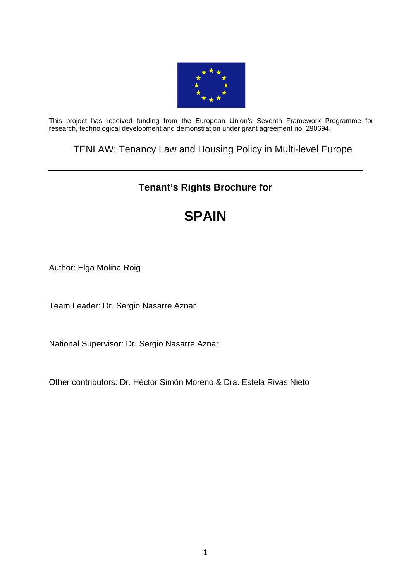

This project has received funding from the European Union's Seventh Framework Programme for research, technological development and demonstration under grant agreement no. 290694.

TENLAW: Tenancy Law and Housing Policy in Multi-level Europe

# **Tenant's Rights Brochure for**

# **SPAIN**

Author: Elga Molina Roig

Team Leader: Dr. Sergio Nasarre Aznar

National Supervisor: Dr. Sergio Nasarre Aznar

Other contributors: Dr. Héctor Simón Moreno & Dra. Estela Rivas Nieto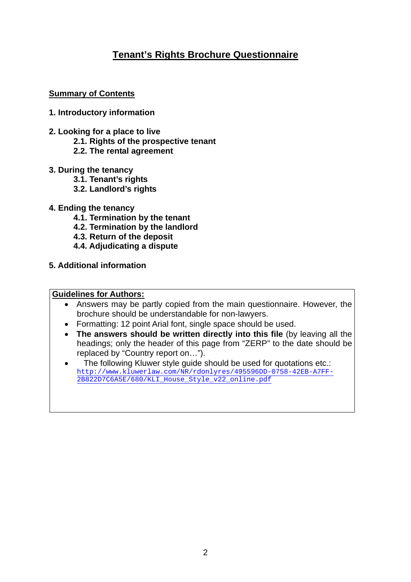## **Tenant's Rights Brochure Questionnaire**

### **Summary of Contents**

#### **1. Introductory information**

- **2. Looking for a place to live** 
	- **2.1. Rights of the prospective tenant**
	- **2.2. The rental agreement**
- **3. During the tenancy** 
	- **3.1. Tenant's rights**
	- **3.2. Landlord's rights**
- **4. Ending the tenancy** 
	- **4.1. Termination by the tenant**
	- **4.2. Termination by the landlord**
	- **4.3. Return of the deposit**
	- **4.4. Adjudicating a dispute**
- **5. Additional information**

#### **Guidelines for Authors:**

- Answers may be partly copied from the main questionnaire. However, the brochure should be understandable for non-lawyers.
- Formatting: 12 point Arial font, single space should be used.
- **The answers should be written directly into this file** (by leaving all the headings; only the header of this page from "ZERP" to the date should be replaced by "Country report on…").
- The following Kluwer style guide should be used for quotations etc.: [http://www.kluwerlaw.com/NR/rdonlyres/495596DD-0758-42EB-A7FF-](http://www.kluwerlaw.com/NR/rdonlyres/495596DD-0758-42EB-A7FF-2B822D7C6A5E/680/KLI_House_Style_v22_online.pdf)[2B822D7C6A5E/680/KLI\\_House\\_Style\\_v22\\_online.pdf](http://www.kluwerlaw.com/NR/rdonlyres/495596DD-0758-42EB-A7FF-2B822D7C6A5E/680/KLI_House_Style_v22_online.pdf)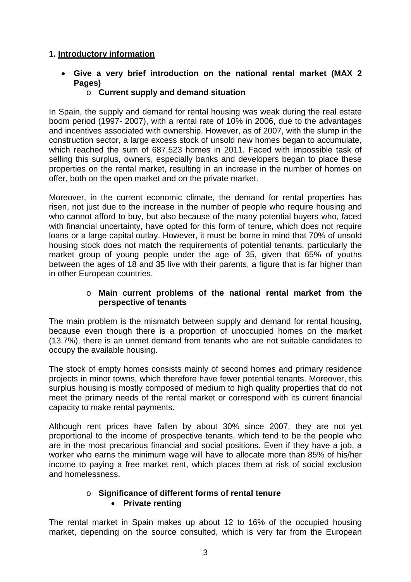## **1. Introductory information**

- **Give a very brief introduction on the national rental market (MAX 2 Pages)** 
	- o **Current supply and demand situation**

In Spain, the supply and demand for rental housing was weak during the real estate boom period (1997- 2007), with a rental rate of 10% in 2006, due to the advantages and incentives associated with ownership. However, as of 2007, with the slump in the construction sector, a large excess stock of unsold new homes began to accumulate, which reached the sum of 687,523 homes in 2011. Faced with impossible task of selling this surplus, owners, especially banks and developers began to place these properties on the rental market, resulting in an increase in the number of homes on offer, both on the open market and on the private market.

Moreover, in the current economic climate, the demand for rental properties has risen, not just due to the increase in the number of people who require housing and who cannot afford to buy, but also because of the many potential buyers who, faced with financial uncertainty, have opted for this form of tenure, which does not require loans or a large capital outlay. However, it must be borne in mind that 70% of unsold housing stock does not match the requirements of potential tenants, particularly the market group of young people under the age of 35, given that 65% of youths between the ages of 18 and 35 live with their parents, a figure that is far higher than in other European countries.

#### o **Main current problems of the national rental market from the perspective of tenants**

The main problem is the mismatch between supply and demand for rental housing, because even though there is a proportion of unoccupied homes on the market (13.7%), there is an unmet demand from tenants who are not suitable candidates to occupy the available housing.

The stock of empty homes consists mainly of second homes and primary residence projects in minor towns, which therefore have fewer potential tenants. Moreover, this surplus housing is mostly composed of medium to high quality properties that do not meet the primary needs of the rental market or correspond with its current financial capacity to make rental payments.

Although rent prices have fallen by about 30% since 2007, they are not yet proportional to the income of prospective tenants, which tend to be the people who are in the most precarious financial and social positions. Even if they have a job, a worker who earns the minimum wage will have to allocate more than 85% of his/her income to paying a free market rent, which places them at risk of social exclusion and homelessness.

## o **Significance of different forms of rental tenure Private renting**

The rental market in Spain makes up about 12 to 16% of the occupied housing market, depending on the source consulted, which is very far from the European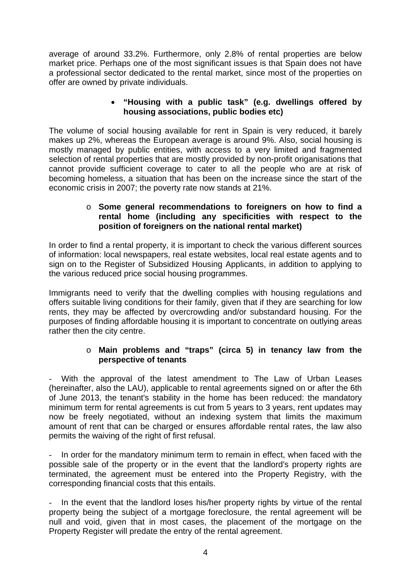average of around 33.2%. Furthermore, only 2.8% of rental properties are below market price. Perhaps one of the most significant issues is that Spain does not have a professional sector dedicated to the rental market, since most of the properties on offer are owned by private individuals.

### **"Housing with a public task" (e.g. dwellings offered by housing associations, public bodies etc)**

The volume of social housing available for rent in Spain is very reduced, it barely makes up 2%, whereas the European average is around 9%. Also, social housing is mostly managed by public entities, with access to a very limited and fragmented selection of rental properties that are mostly provided by non-profit origanisations that cannot provide sufficient coverage to cater to all the people who are at risk of becoming homeless, a situation that has been on the increase since the start of the economic crisis in 2007; the poverty rate now stands at 21%.

#### o **Some general recommendations to foreigners on how to find a rental home (including any specificities with respect to the position of foreigners on the national rental market)**

In order to find a rental property, it is important to check the various different sources of information: local newspapers, real estate websites, local real estate agents and to sign on to the Register of Subsidized Housing Applicants, in addition to applying to the various reduced price social housing programmes.

Immigrants need to verify that the dwelling complies with housing regulations and offers suitable living conditions for their family, given that if they are searching for low rents, they may be affected by overcrowding and/or substandard housing. For the purposes of finding affordable housing it is important to concentrate on outlying areas rather then the city centre.

#### o **Main problems and "traps" (circa 5) in tenancy law from the perspective of tenants**

With the approval of the latest amendment to The Law of Urban Leases (hereinafter, also the LAU), applicable to rental agreements signed on or after the 6th of June 2013, the tenant's stability in the home has been reduced: the mandatory minimum term for rental agreements is cut from 5 years to 3 years, rent updates may now be freely negotiated, without an indexing system that limits the maximum amount of rent that can be charged or ensures affordable rental rates, the law also permits the waiving of the right of first refusal.

In order for the mandatory minimum term to remain in effect, when faced with the possible sale of the property or in the event that the landlord's property rights are terminated, the agreement must be entered into the Property Registry, with the corresponding financial costs that this entails.

In the event that the landlord loses his/her property rights by virtue of the rental property being the subject of a mortgage foreclosure, the rental agreement will be null and void, given that in most cases, the placement of the mortgage on the Property Register will predate the entry of the rental agreement.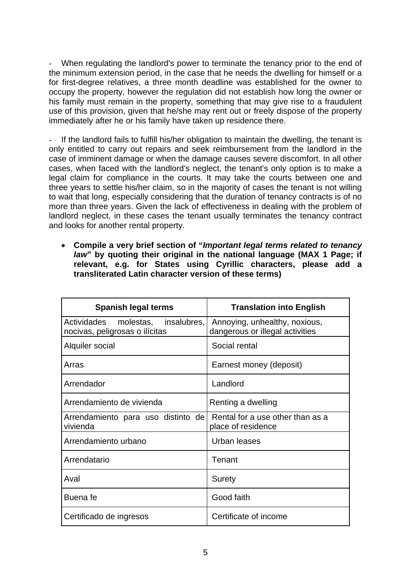When regulating the landlord's power to terminate the tenancy prior to the end of the minimum extension period, in the case that he needs the dwelling for himself or a for first-degree relatives, a three month deadline was established for the owner to occupy the property, however the regulation did not establish how long the owner or his family must remain in the property, something that may give rise to a fraudulent use of this provision, given that he/she may rent out or freely dispose of the property immediately after he or his family have taken up residence there.

If the landlord fails to fulfill his/her obligation to maintain the dwelling, the tenant is only entitled to carry out repairs and seek reimbursement from the landlord in the case of imminent damage or when the damage causes severe discomfort. In all other cases, when faced with the landlord's neglect, the tenant's only option is to make a legal claim for compliance in the courts. It may take the courts between one and three years to settle his/her claim, so in the majority of cases the tenant is not willing to wait that long, especially considering that the duration of tenancy contracts is of no more than three years. Given the lack of effectiveness in dealing with the problem of landlord neglect, in these cases the tenant usually terminates the tenancy contract and looks for another rental property.

 **Compile a very brief section of "***Important legal terms related to tenancy law***" by quoting their original in the national language (MAX 1 Page; if relevant, e.g. for States using Cyrillic characters, please add a transliterated Latin character version of these terms)** 

| <b>Spanish legal terms</b>                                          | <b>Translation into English</b>                                  |
|---------------------------------------------------------------------|------------------------------------------------------------------|
| Actividades molestas, insalubres,<br>nocivas, peligrosas o ilícitas | Annoying, unhealthy, noxious,<br>dangerous or illegal activities |
| Alquiler social                                                     | Social rental                                                    |
| Arras                                                               | Earnest money (deposit)                                          |
| Arrendador                                                          | Landlord                                                         |
| Arrendamiento de vivienda                                           | Renting a dwelling                                               |
| Arrendamiento para uso distinto de<br>vivienda                      | Rental for a use other than as a<br>place of residence           |
| Arrendamiento urbano                                                | Urban leases                                                     |
| Arrendatario                                                        | Tenant                                                           |
| Aval                                                                | <b>Surety</b>                                                    |
| Buena fe                                                            | Good faith                                                       |
| Certificado de ingresos                                             | Certificate of income                                            |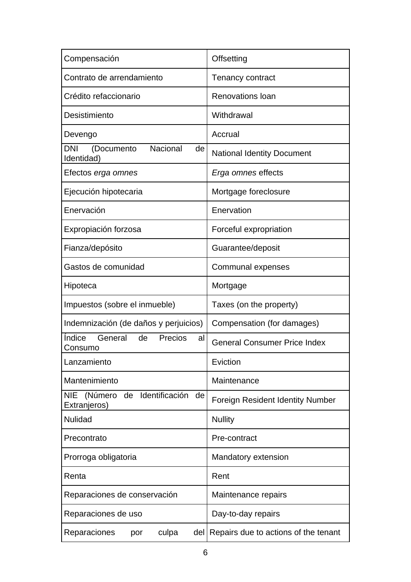| Compensación                                                             | Offsetting                              |
|--------------------------------------------------------------------------|-----------------------------------------|
| Contrato de arrendamiento                                                | <b>Tenancy contract</b>                 |
| Crédito refaccionario                                                    | <b>Renovations loan</b>                 |
| Desistimiento                                                            | Withdrawal                              |
| Devengo                                                                  | Accrual                                 |
| Nacional<br>DNI<br>(Documento<br>de<br>Identidad)                        | <b>National Identity Document</b>       |
| Efectos <i>erga omnes</i>                                                | Erga omnes effects                      |
| Ejecución hipotecaria                                                    | Mortgage foreclosure                    |
| Enervación                                                               | Enervation                              |
| Expropiación forzosa                                                     | Forceful expropriation                  |
| Fianza/depósito                                                          | Guarantee/deposit                       |
| Gastos de comunidad                                                      | Communal expenses                       |
| Hipoteca                                                                 | Mortgage                                |
| Impuestos (sobre el inmueble)                                            | Taxes (on the property)                 |
| Indemnización (de daños y perjuicios)                                    | Compensation (for damages)              |
| <i><u><b>Indice</b></u></i><br>General<br>de<br>Precios<br>al<br>Consumo | <b>General Consumer Price Index</b>     |
| Lanzamiento                                                              | Eviction                                |
| Mantenimiento                                                            | Maintenance                             |
| (Número<br>Identificación<br><b>NIE</b><br>de<br>de<br>Extranjeros)      | <b>Foreign Resident Identity Number</b> |
| <b>Nulidad</b>                                                           | <b>Nullity</b>                          |
| Precontrato                                                              | Pre-contract                            |
| Prorroga obligatoria                                                     | Mandatory extension                     |
| Renta                                                                    | Rent                                    |
| Reparaciones de conservación                                             | Maintenance repairs                     |
| Reparaciones de uso                                                      | Day-to-day repairs                      |
| Reparaciones<br>culpa<br>del  <br>por                                    | Repairs due to actions of the tenant    |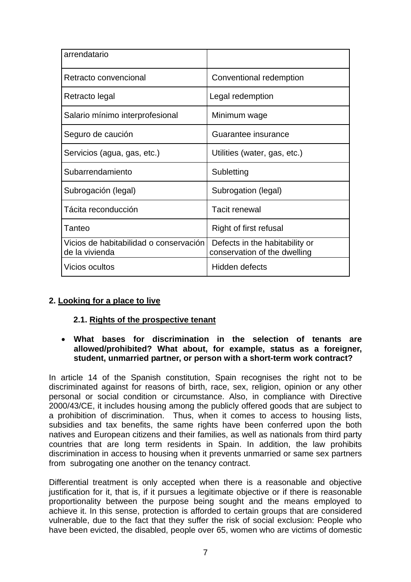| arrendatario                                             |                                                                |
|----------------------------------------------------------|----------------------------------------------------------------|
| Retracto convencional                                    | Conventional redemption                                        |
| Retracto legal                                           | Legal redemption                                               |
| Salario mínimo interprofesional                          | Minimum wage                                                   |
| Seguro de caución                                        | Guarantee insurance                                            |
| Servicios (agua, gas, etc.)                              | Utilities (water, gas, etc.)                                   |
| Subarrendamiento                                         | Subletting                                                     |
| Subrogación (legal)                                      | Subrogation (legal)                                            |
| Tácita reconducción                                      | <b>Tacit renewal</b>                                           |
| Tanteo                                                   | Right of first refusal                                         |
| Vicios de habitabilidad o conservación<br>de la vivienda | Defects in the habitability or<br>conservation of the dwelling |
| <b>Vicios ocultos</b>                                    | Hidden defects                                                 |

## **2. Looking for a place to live**

#### **2.1. Rights of the prospective tenant**

#### **What bases for discrimination in the selection of tenants are allowed/prohibited? What about, for example, status as a foreigner, student, unmarried partner, or person with a short-term work contract?**

In article 14 of the Spanish constitution, Spain recognises the right not to be discriminated against for reasons of birth, race, sex, religion, opinion or any other personal or social condition or circumstance. Also, in compliance with Directive 2000/43/CE, it includes housing among the publicly offered goods that are subject to a prohibition of discrimination. Thus, when it comes to access to housing lists, subsidies and tax benefits, the same rights have been conferred upon the both natives and European citizens and their families, as well as nationals from third party countries that are long term residents in Spain. In addition, the law prohibits discrimination in access to housing when it prevents unmarried or same sex partners from subrogating one another on the tenancy contract.

Differential treatment is only accepted when there is a reasonable and objective justification for it, that is, if it pursues a legitimate objective or if there is reasonable proportionality between the purpose being sought and the means employed to achieve it. In this sense, protection is afforded to certain groups that are considered vulnerable, due to the fact that they suffer the risk of social exclusion: People who have been evicted, the disabled, people over 65, women who are victims of domestic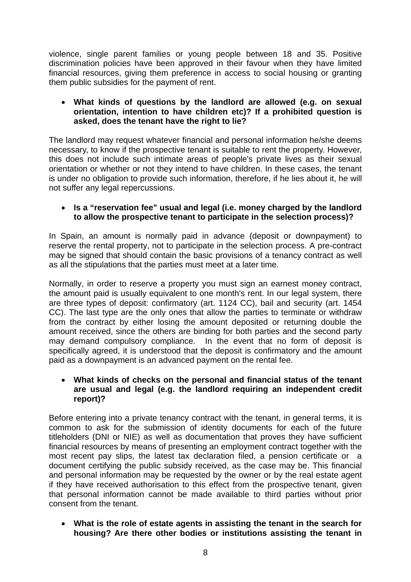violence, single parent families or young people between 18 and 35. Positive discrimination policies have been approved in their favour when they have limited financial resources, giving them preference in access to social housing or granting them public subsidies for the payment of rent.

#### **What kinds of questions by the landlord are allowed (e.g. on sexual orientation, intention to have children etc)? If a prohibited question is asked, does the tenant have the right to lie?**

The landlord may request whatever financial and personal information he/she deems necessary, to know if the prospective tenant is suitable to rent the property. However, this does not include such intimate areas of people's private lives as their sexual orientation or whether or not they intend to have children. In these cases, the tenant is under no obligation to provide such information, therefore, if he lies about it, he will not suffer any legal repercussions.

#### **Is a "reservation fee" usual and legal (i.e. money charged by the landlord to allow the prospective tenant to participate in the selection process)?**

In Spain, an amount is normally paid in advance (deposit or downpayment) to reserve the rental property, not to participate in the selection process. A pre-contract may be signed that should contain the basic provisions of a tenancy contract as well as all the stipulations that the parties must meet at a later time.

Normally, in order to reserve a property you must sign an earnest money contract, the amount paid is usually equivalent to one month's rent. In our legal system, there are three types of deposit: confirmatory (art. 1124 CC), bail and security (art. 1454 CC). The last type are the only ones that allow the parties to terminate or withdraw from the contract by either losing the amount deposited or returning double the amount received, since the others are binding for both parties and the second party may demand compulsory compliance. In the event that no form of deposit is specifically agreed, it is understood that the deposit is confirmatory and the amount paid as a downpayment is an advanced payment on the rental fee.

#### **What kinds of checks on the personal and financial status of the tenant are usual and legal (e.g. the landlord requiring an independent credit report)?**

Before entering into a private tenancy contract with the tenant, in general terms, it is common to ask for the submission of identity documents for each of the future titleholders (DNI or NIE) as well as documentation that proves they have sufficient financial resources by means of presenting an employment contract together with the most recent pay slips, the latest tax declaration filed, a pension certificate or a document certifying the public subsidy received, as the case may be. This financial and personal information may be requested by the owner or by the real estate agent if they have received authorisation to this effect from the prospective tenant, given that personal information cannot be made available to third parties without prior consent from the tenant.

 **What is the role of estate agents in assisting the tenant in the search for housing? Are there other bodies or institutions assisting the tenant in**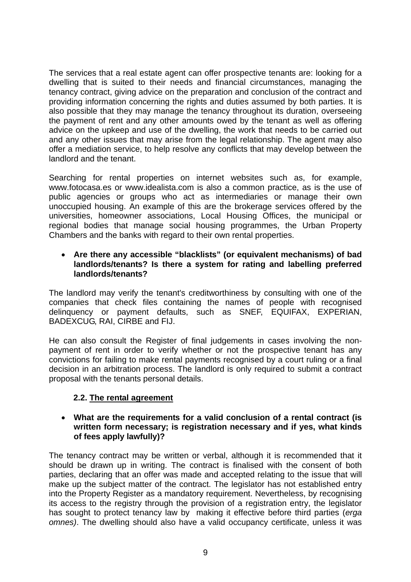The services that a real estate agent can offer prospective tenants are: looking for a dwelling that is suited to their needs and financial circumstances, managing the tenancy contract, giving advice on the preparation and conclusion of the contract and providing information concerning the rights and duties assumed by both parties. It is also possible that they may manage the tenancy throughout its duration, overseeing the payment of rent and any other amounts owed by the tenant as well as offering advice on the upkeep and use of the dwelling, the work that needs to be carried out and any other issues that may arise from the legal relationship. The agent may also offer a mediation service, to help resolve any conflicts that may develop between the landlord and the tenant.

Searching for rental properties on internet websites such as, for example, www.fotocasa.es or www.idealista.com is also a common practice, as is the use of public agencies or groups who act as intermediaries or manage their own unoccupied housing. An example of this are the brokerage services offered by the universities, homeowner associations, Local Housing Offices, the municipal or regional bodies that manage social housing programmes, the Urban Property Chambers and the banks with regard to their own rental properties.

#### **Are there any accessible "blacklists" (or equivalent mechanisms) of bad landlords/tenants? Is there a system for rating and labelling preferred landlords/tenants?**

The landlord may verify the tenant's creditworthiness by consulting with one of the companies that check files containing the names of people with recognised delinquency or payment defaults, such as SNEF, EQUIFAX, EXPERIAN, BADEXCUG, RAI, CIRBE and FIJ.

He can also consult the Register of final judgements in cases involving the nonpayment of rent in order to verify whether or not the prospective tenant has any convictions for failing to make rental payments recognised by a court ruling or a final decision in an arbitration process. The landlord is only required to submit a contract proposal with the tenants personal details.

## **2.2. The rental agreement**

#### **What are the requirements for a valid conclusion of a rental contract (is written form necessary; is registration necessary and if yes, what kinds of fees apply lawfully)?**

The tenancy contract may be written or verbal, although it is recommended that it should be drawn up in writing. The contract is finalised with the consent of both parties, declaring that an offer was made and accepted relating to the issue that will make up the subject matter of the contract. The legislator has not established entry into the Property Register as a mandatory requirement. Nevertheless, by recognising its access to the registry through the provision of a registration entry, the legislator has sought to protect tenancy law by making it effective before third parties (*erga omnes)*. The dwelling should also have a valid occupancy certificate, unless it was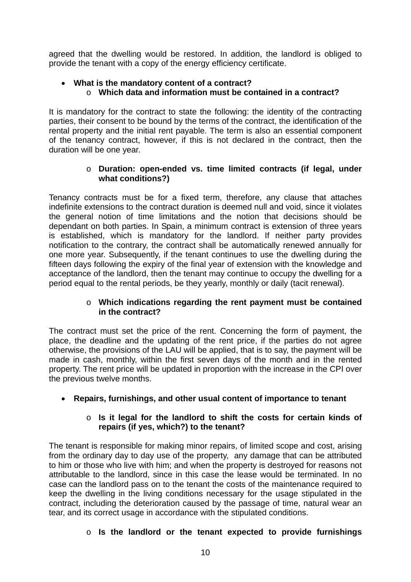agreed that the dwelling would be restored. In addition, the landlord is obliged to provide the tenant with a copy of the energy efficiency certificate.

## **What is the mandatory content of a contract?**  o **Which data and information must be contained in a contract?**

It is mandatory for the contract to state the following: the identity of the contracting parties, their consent to be bound by the terms of the contract, the identification of the rental property and the initial rent payable. The term is also an essential component of the tenancy contract, however, if this is not declared in the contract, then the duration will be one year.

### o **Duration: open-ended vs. time limited contracts (if legal, under what conditions?)**

Tenancy contracts must be for a fixed term, therefore, any clause that attaches indefinite extensions to the contract duration is deemed null and void, since it violates the general notion of time limitations and the notion that decisions should be dependant on both parties. In Spain, a minimum contract is extension of three years is established, which is mandatory for the landlord. If neither party provides notification to the contrary, the contract shall be automatically renewed annually for one more year. Subsequently, if the tenant continues to use the dwelling during the fifteen days following the expiry of the final year of extension with the knowledge and acceptance of the landlord, then the tenant may continue to occupy the dwelling for a period equal to the rental periods, be they yearly, monthly or daily (tacit renewal).

#### o **Which indications regarding the rent payment must be contained in the contract?**

The contract must set the price of the rent. Concerning the form of payment, the place, the deadline and the updating of the rent price, if the parties do not agree otherwise, the provisions of the LAU will be applied, that is to say, the payment will be made in cash, monthly, within the first seven days of the month and in the rented property. The rent price will be updated in proportion with the increase in the CPI over the previous twelve months.

**Repairs, furnishings, and other usual content of importance to tenant** 

## o **Is it legal for the landlord to shift the costs for certain kinds of repairs (if yes, which?) to the tenant?**

The tenant is responsible for making minor repairs, of limited scope and cost, arising from the ordinary day to day use of the property, any damage that can be attributed to him or those who live with him; and when the property is destroyed for reasons not attributable to the landlord, since in this case the lease would be terminated. In no case can the landlord pass on to the tenant the costs of the maintenance required to keep the dwelling in the living conditions necessary for the usage stipulated in the contract, including the deterioration caused by the passage of time, natural wear an tear, and its correct usage in accordance with the stipulated conditions.

## o **Is the landlord or the tenant expected to provide furnishings**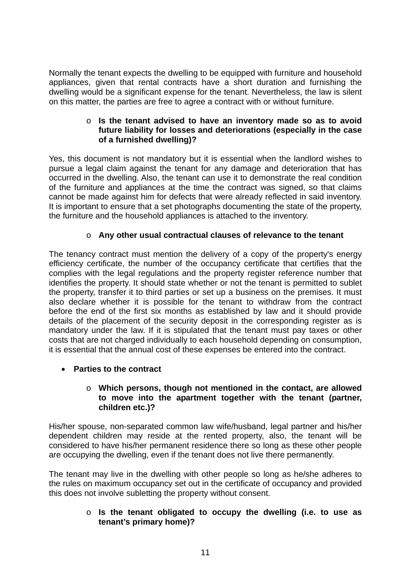Normally the tenant expects the dwelling to be equipped with furniture and household appliances, given that rental contracts have a short duration and furnishing the dwelling would be a significant expense for the tenant. Nevertheless, the law is silent on this matter, the parties are free to agree a contract with or without furniture.

#### o **Is the tenant advised to have an inventory made so as to avoid future liability for losses and deteriorations (especially in the case of a furnished dwelling)?**

Yes, this document is not mandatory but it is essential when the landlord wishes to pursue a legal claim against the tenant for any damage and deterioration that has occurred in the dwelling. Also, the tenant can use it to demonstrate the real condition of the furniture and appliances at the time the contract was signed, so that claims cannot be made against him for defects that were already reflected in said inventory. It is important to ensure that a set photographs documenting the state of the property, the furniture and the household appliances is attached to the inventory.

## o **Any other usual contractual clauses of relevance to the tenant**

The tenancy contract must mention the delivery of a copy of the property's energy efficiency certificate, the number of the occupancy certificate that certifies that the complies with the legal regulations and the property register reference number that identifies the property. It should state whether or not the tenant is permitted to sublet the property, transfer it to third parties or set up a business on the premises. It must also declare whether it is possible for the tenant to withdraw from the contract before the end of the first six months as established by law and it should provide details of the placement of the security deposit in the corresponding register as is mandatory under the law. If it is stipulated that the tenant must pay taxes or other costs that are not charged individually to each household depending on consumption, it is essential that the annual cost of these expenses be entered into the contract.

## **Parties to the contract**

#### o **Which persons, though not mentioned in the contact, are allowed to move into the apartment together with the tenant (partner, children etc.)?**

His/her spouse, non-separated common law wife/husband, legal partner and his/her dependent children may reside at the rented property, also, the tenant will be considered to have his/her permanent residence there so long as these other people are occupying the dwelling, even if the tenant does not live there permanently.

The tenant may live in the dwelling with other people so long as he/she adheres to the rules on maximum occupancy set out in the certificate of occupancy and provided this does not involve subletting the property without consent.

#### o **Is the tenant obligated to occupy the dwelling (i.e. to use as tenant's primary home)?**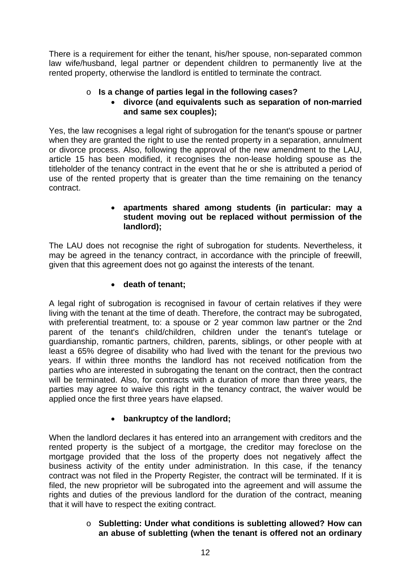There is a requirement for either the tenant, his/her spouse, non-separated common law wife/husband, legal partner or dependent children to permanently live at the rented property, otherwise the landlord is entitled to terminate the contract.

## o **Is a change of parties legal in the following cases?**

## **divorce (and equivalents such as separation of non-married and same sex couples);**

Yes, the law recognises a legal right of subrogation for the tenant's spouse or partner when they are granted the right to use the rented property in a separation, annulment or divorce process. Also, following the approval of the new amendment to the LAU, article 15 has been modified, it recognises the non-lease holding spouse as the titleholder of the tenancy contract in the event that he or she is attributed a period of use of the rented property that is greater than the time remaining on the tenancy contract.

#### **apartments shared among students (in particular: may a student moving out be replaced without permission of the landlord);**

The LAU does not recognise the right of subrogation for students. Nevertheless, it may be agreed in the tenancy contract, in accordance with the principle of freewill, given that this agreement does not go against the interests of the tenant.

## **death of tenant;**

A legal right of subrogation is recognised in favour of certain relatives if they were living with the tenant at the time of death. Therefore, the contract may be subrogated, with preferential treatment, to: a spouse or 2 year common law partner or the 2nd parent of the tenant's child/children, children under the tenant's tutelage or guardianship, romantic partners, children, parents, siblings, or other people with at least a 65% degree of disability who had lived with the tenant for the previous two years. If within three months the landlord has not received notification from the parties who are interested in subrogating the tenant on the contract, then the contract will be terminated. Also, for contracts with a duration of more than three years, the parties may agree to waive this right in the tenancy contract, the waiver would be applied once the first three years have elapsed.

## **bankruptcy of the landlord;**

When the landlord declares it has entered into an arrangement with creditors and the rented property is the subject of a mortgage, the creditor may foreclose on the mortgage provided that the loss of the property does not negatively affect the business activity of the entity under administration. In this case, if the tenancy contract was not filed in the Property Register, the contract will be terminated. If it is filed, the new proprietor will be subrogated into the agreement and will assume the rights and duties of the previous landlord for the duration of the contract, meaning that it will have to respect the exiting contract.

#### o **Subletting: Under what conditions is subletting allowed? How can an abuse of subletting (when the tenant is offered not an ordinary**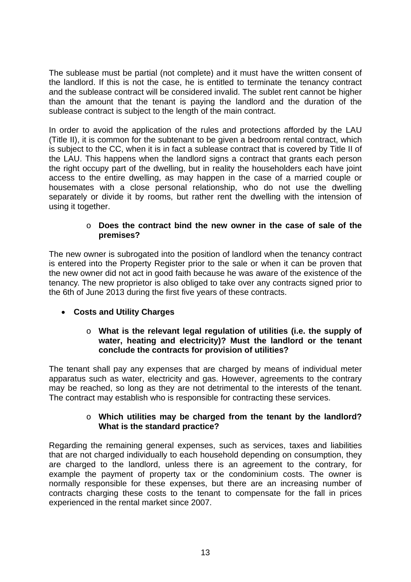The sublease must be partial (not complete) and it must have the written consent of the landlord. If this is not the case, he is entitled to terminate the tenancy contract and the sublease contract will be considered invalid. The sublet rent cannot be higher than the amount that the tenant is paying the landlord and the duration of the sublease contract is subject to the length of the main contract.

In order to avoid the application of the rules and protections afforded by the LAU (Title II), it is common for the subtenant to be given a bedroom rental contract, which is subject to the CC, when it is in fact a sublease contract that is covered by Title II of the LAU. This happens when the landlord signs a contract that grants each person the right occupy part of the dwelling, but in reality the householders each have joint access to the entire dwelling, as may happen in the case of a married couple or housemates with a close personal relationship, who do not use the dwelling separately or divide it by rooms, but rather rent the dwelling with the intension of using it together.

#### o **Does the contract bind the new owner in the case of sale of the premises?**

The new owner is subrogated into the position of landlord when the tenancy contract is entered into the Property Register prior to the sale or when it can be proven that the new owner did not act in good faith because he was aware of the existence of the tenancy. The new proprietor is also obliged to take over any contracts signed prior to the 6th of June 2013 during the first five years of these contracts.

## **Costs and Utility Charges**

#### o **What is the relevant legal regulation of utilities (i.e. the supply of water, heating and electricity)? Must the landlord or the tenant conclude the contracts for provision of utilities?**

The tenant shall pay any expenses that are charged by means of individual meter apparatus such as water, electricity and gas. However, agreements to the contrary may be reached, so long as they are not detrimental to the interests of the tenant. The contract may establish who is responsible for contracting these services.

#### o **Which utilities may be charged from the tenant by the landlord? What is the standard practice?**

Regarding the remaining general expenses, such as services, taxes and liabilities that are not charged individually to each household depending on consumption, they are charged to the landlord, unless there is an agreement to the contrary, for example the payment of property tax or the condominium costs. The owner is normally responsible for these expenses, but there are an increasing number of contracts charging these costs to the tenant to compensate for the fall in prices experienced in the rental market since 2007.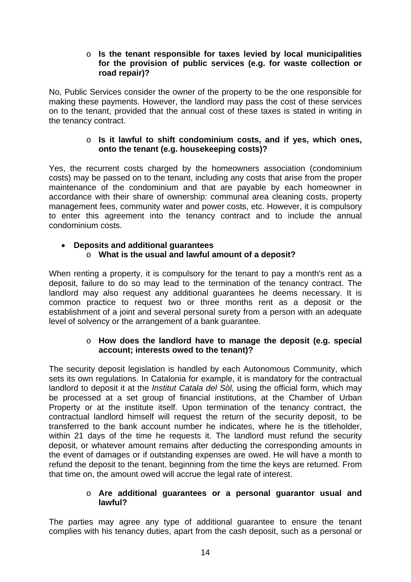#### o **Is the tenant responsible for taxes levied by local municipalities for the provision of public services (e.g. for waste collection or road repair)?**

No, Public Services consider the owner of the property to be the one responsible for making these payments. However, the landlord may pass the cost of these services on to the tenant, provided that the annual cost of these taxes is stated in writing in the tenancy contract.

#### o **Is it lawful to shift condominium costs, and if yes, which ones, onto the tenant (e.g. housekeeping costs)?**

Yes, the recurrent costs charged by the homeowners association (condominium costs) may be passed on to the tenant, including any costs that arise from the proper maintenance of the condominium and that are payable by each homeowner in accordance with their share of ownership: communal area cleaning costs, property management fees, community water and power costs, etc. However, it is compulsory to enter this agreement into the tenancy contract and to include the annual condominium costs.

## **Deposits and additional guarantees**  o **What is the usual and lawful amount of a deposit?**

When renting a property, it is compulsory for the tenant to pay a month's rent as a deposit, failure to do so may lead to the termination of the tenancy contract. The landlord may also request any additional guarantees he deems necessary. It is common practice to request two or three months rent as a deposit or the establishment of a joint and several personal surety from a person with an adequate level of solvency or the arrangement of a bank guarantee.

#### o **How does the landlord have to manage the deposit (e.g. special account; interests owed to the tenant)?**

The security deposit legislation is handled by each Autonomous Community, which sets its own regulations. In Catalonia for example, it is mandatory for the contractual landlord to deposit it at the *Institut Catala del Sòl,* using the official form, which may be processed at a set group of financial institutions, at the Chamber of Urban Property or at the institute itself. Upon termination of the tenancy contract, the contractual landlord himself will request the return of the security deposit, to be transferred to the bank account number he indicates, where he is the titleholder, within 21 days of the time he requests it. The landlord must refund the security deposit, or whatever amount remains after deducting the corresponding amounts in the event of damages or if outstanding expenses are owed. He will have a month to refund the deposit to the tenant, beginning from the time the keys are returned. From that time on, the amount owed will accrue the legal rate of interest.

#### o **Are additional guarantees or a personal guarantor usual and lawful?**

The parties may agree any type of additional guarantee to ensure the tenant complies with his tenancy duties, apart from the cash deposit, such as a personal or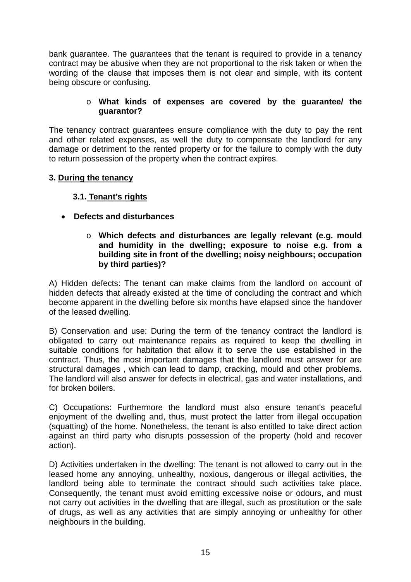bank guarantee. The guarantees that the tenant is required to provide in a tenancy contract may be abusive when they are not proportional to the risk taken or when the wording of the clause that imposes them is not clear and simple, with its content being obscure or confusing.

#### o **What kinds of expenses are covered by the guarantee/ the guarantor?**

The tenancy contract guarantees ensure compliance with the duty to pay the rent and other related expenses, as well the duty to compensate the landlord for any damage or detriment to the rented property or for the failure to comply with the duty to return possession of the property when the contract expires.

#### **3. During the tenancy**

## **3.1. Tenant's rights**

## **Defects and disturbances**

#### o **Which defects and disturbances are legally relevant (e.g. mould and humidity in the dwelling; exposure to noise e.g. from a building site in front of the dwelling; noisy neighbours; occupation by third parties)?**

A) Hidden defects: The tenant can make claims from the landlord on account of hidden defects that already existed at the time of concluding the contract and which become apparent in the dwelling before six months have elapsed since the handover of the leased dwelling.

B) Conservation and use: During the term of the tenancy contract the landlord is obligated to carry out maintenance repairs as required to keep the dwelling in suitable conditions for habitation that allow it to serve the use established in the contract. Thus, the most important damages that the landlord must answer for are structural damages , which can lead to damp, cracking, mould and other problems. The landlord will also answer for defects in electrical, gas and water installations, and for broken boilers.

C) Occupations: Furthermore the landlord must also ensure tenant's peaceful enjoyment of the dwelling and, thus, must protect the latter from illegal occupation (squatting) of the home. Nonetheless, the tenant is also entitled to take direct action against an third party who disrupts possession of the property (hold and recover action).

D) Activities undertaken in the dwelling: The tenant is not allowed to carry out in the leased home any annoying, unhealthy, noxious, dangerous or illegal activities, the landlord being able to terminate the contract should such activities take place. Consequently, the tenant must avoid emitting excessive noise or odours, and must not carry out activities in the dwelling that are illegal, such as prostitution or the sale of drugs, as well as any activities that are simply annoying or unhealthy for other neighbours in the building.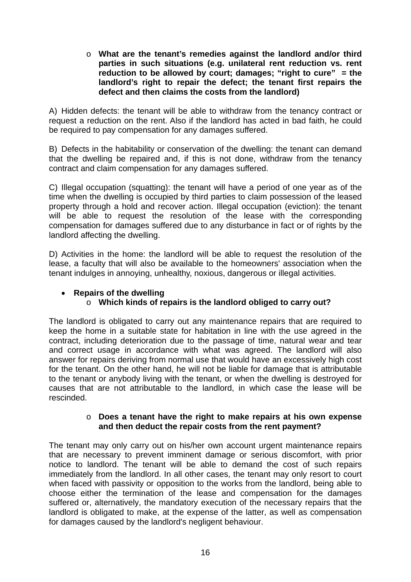o **What are the tenant's remedies against the landlord and/or third parties in such situations (e.g. unilateral rent reduction vs. rent reduction to be allowed by court; damages; "right to cure" = the landlord's right to repair the defect; the tenant first repairs the defect and then claims the costs from the landlord)** 

A) Hidden defects: the tenant will be able to withdraw from the tenancy contract or request a reduction on the rent. Also if the landlord has acted in bad faith, he could be required to pay compensation for any damages suffered.

B) Defects in the habitability or conservation of the dwelling: the tenant can demand that the dwelling be repaired and, if this is not done, withdraw from the tenancy contract and claim compensation for any damages suffered.

C) Illegal occupation (squatting): the tenant will have a period of one year as of the time when the dwelling is occupied by third parties to claim possession of the leased property through a hold and recover action. Illegal occupation (eviction): the tenant will be able to request the resolution of the lease with the corresponding compensation for damages suffered due to any disturbance in fact or of rights by the landlord affecting the dwelling.

D) Activities in the home: the landlord will be able to request the resolution of the lease, a faculty that will also be available to the homeowners' association when the tenant indulges in annoying, unhealthy, noxious, dangerous or illegal activities.

## **Repairs of the dwelling**

## o **Which kinds of repairs is the landlord obliged to carry out?**

The landlord is obligated to carry out any maintenance repairs that are required to keep the home in a suitable state for habitation in line with the use agreed in the contract, including deterioration due to the passage of time, natural wear and tear and correct usage in accordance with what was agreed. The landlord will also answer for repairs deriving from normal use that would have an excessively high cost for the tenant. On the other hand, he will not be liable for damage that is attributable to the tenant or anybody living with the tenant, or when the dwelling is destroyed for causes that are not attributable to the landlord, in which case the lease will be rescinded.

#### o **Does a tenant have the right to make repairs at his own expense and then deduct the repair costs from the rent payment?**

The tenant may only carry out on his/her own account urgent maintenance repairs that are necessary to prevent imminent damage or serious discomfort, with prior notice to landlord. The tenant will be able to demand the cost of such repairs immediately from the landlord. In all other cases, the tenant may only resort to court when faced with passivity or opposition to the works from the landlord, being able to choose either the termination of the lease and compensation for the damages suffered or, alternatively, the mandatory execution of the necessary repairs that the landlord is obligated to make, at the expense of the latter, as well as compensation for damages caused by the landlord's negligent behaviour.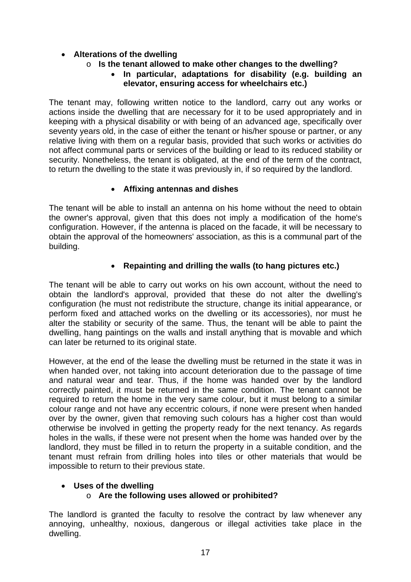## **Alterations of the dwelling**

## o **Is the tenant allowed to make other changes to the dwelling?**

### **In particular, adaptations for disability (e.g. building an elevator, ensuring access for wheelchairs etc.)**

The tenant may, following written notice to the landlord, carry out any works or actions inside the dwelling that are necessary for it to be used appropriately and in keeping with a physical disability or with being of an advanced age, specifically over seventy years old, in the case of either the tenant or his/her spouse or partner, or any relative living with them on a regular basis, provided that such works or activities do not affect communal parts or services of the building or lead to its reduced stability or security. Nonetheless, the tenant is obligated, at the end of the term of the contract, to return the dwelling to the state it was previously in, if so required by the landlord.

#### **Affixing antennas and dishes**

The tenant will be able to install an antenna on his home without the need to obtain the owner's approval, given that this does not imply a modification of the home's configuration. However, if the antenna is placed on the facade, it will be necessary to obtain the approval of the homeowners' association, as this is a communal part of the building.

## **Repainting and drilling the walls (to hang pictures etc.)**

The tenant will be able to carry out works on his own account, without the need to obtain the landlord's approval, provided that these do not alter the dwelling's configuration (he must not redistribute the structure, change its initial appearance, or perform fixed and attached works on the dwelling or its accessories), nor must he alter the stability or security of the same. Thus, the tenant will be able to paint the dwelling, hang paintings on the walls and install anything that is movable and which can later be returned to its original state.

However, at the end of the lease the dwelling must be returned in the state it was in when handed over, not taking into account deterioration due to the passage of time and natural wear and tear. Thus, if the home was handed over by the landlord correctly painted, it must be returned in the same condition. The tenant cannot be required to return the home in the very same colour, but it must belong to a similar colour range and not have any eccentric colours, if none were present when handed over by the owner, given that removing such colours has a higher cost than would otherwise be involved in getting the property ready for the next tenancy. As regards holes in the walls, if these were not present when the home was handed over by the landlord, they must be filled in to return the property in a suitable condition, and the tenant must refrain from drilling holes into tiles or other materials that would be impossible to return to their previous state.

#### **Uses of the dwelling**

## o **Are the following uses allowed or prohibited?**

The landlord is granted the faculty to resolve the contract by law whenever any annoying, unhealthy, noxious, dangerous or illegal activities take place in the dwelling.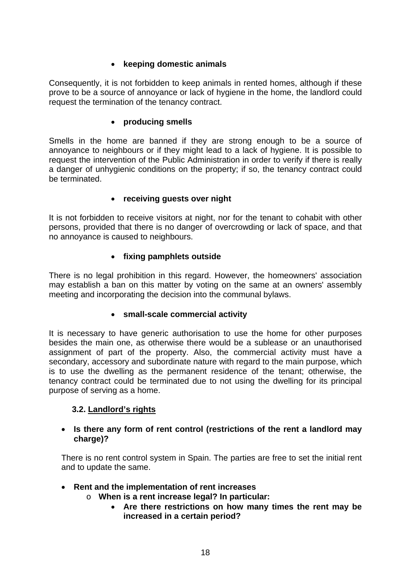## **keeping domestic animals**

Consequently, it is not forbidden to keep animals in rented homes, although if these prove to be a source of annoyance or lack of hygiene in the home, the landlord could request the termination of the tenancy contract.

#### **producing smells**

Smells in the home are banned if they are strong enough to be a source of annoyance to neighbours or if they might lead to a lack of hygiene. It is possible to request the intervention of the Public Administration in order to verify if there is really a danger of unhygienic conditions on the property; if so, the tenancy contract could be terminated.

#### **receiving guests over night**

It is not forbidden to receive visitors at night, nor for the tenant to cohabit with other persons, provided that there is no danger of overcrowding or lack of space, and that no annoyance is caused to neighbours.

#### **fixing pamphlets outside**

There is no legal prohibition in this regard. However, the homeowners' association may establish a ban on this matter by voting on the same at an owners' assembly meeting and incorporating the decision into the communal bylaws.

#### **small-scale commercial activity**

It is necessary to have generic authorisation to use the home for other purposes besides the main one, as otherwise there would be a sublease or an unauthorised assignment of part of the property. Also, the commercial activity must have a secondary, accessory and subordinate nature with regard to the main purpose, which is to use the dwelling as the permanent residence of the tenant; otherwise, the tenancy contract could be terminated due to not using the dwelling for its principal purpose of serving as a home.

#### **3.2. Landlord's rights**

#### **Is there any form of rent control (restrictions of the rent a landlord may charge)?**

There is no rent control system in Spain. The parties are free to set the initial rent and to update the same.

#### **Rent and the implementation of rent increases**

- o **When is a rent increase legal? In particular:** 
	- **Are there restrictions on how many times the rent may be increased in a certain period?**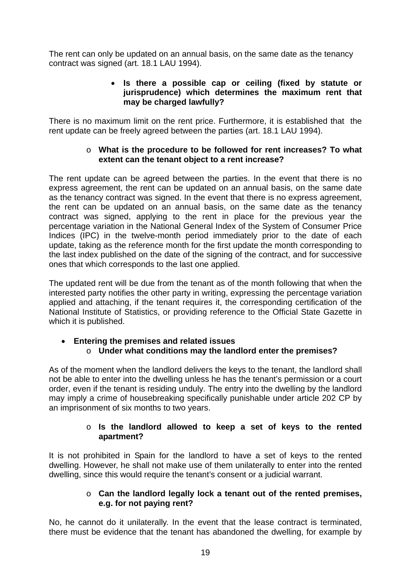The rent can only be updated on an annual basis, on the same date as the tenancy contract was signed (art. 18.1 LAU 1994).

#### **Is there a possible cap or ceiling (fixed by statute or jurisprudence) which determines the maximum rent that may be charged lawfully?**

There is no maximum limit on the rent price. Furthermore, it is established that the rent update can be freely agreed between the parties (art. 18.1 LAU 1994).

#### o **What is the procedure to be followed for rent increases? To what extent can the tenant object to a rent increase?**

The rent update can be agreed between the parties. In the event that there is no express agreement, the rent can be updated on an annual basis, on the same date as the tenancy contract was signed. In the event that there is no express agreement, the rent can be updated on an annual basis, on the same date as the tenancy contract was signed, applying to the rent in place for the previous year the percentage variation in the National General Index of the System of Consumer Price Indices (IPC) in the twelve-month period immediately prior to the date of each update, taking as the reference month for the first update the month corresponding to the last index published on the date of the signing of the contract, and for successive ones that which corresponds to the last one applied.

The updated rent will be due from the tenant as of the month following that when the interested party notifies the other party in writing, expressing the percentage variation applied and attaching, if the tenant requires it, the corresponding certification of the National Institute of Statistics, or providing reference to the Official State Gazette in which it is published.

## **Entering the premises and related issues**  o **Under what conditions may the landlord enter the premises?**

As of the moment when the landlord delivers the keys to the tenant, the landlord shall not be able to enter into the dwelling unless he has the tenant's permission or a court order, even if the tenant is residing unduly. The entry into the dwelling by the landlord may imply a crime of housebreaking specifically punishable under article 202 CP by an imprisonment of six months to two years.

#### o **Is the landlord allowed to keep a set of keys to the rented apartment?**

It is not prohibited in Spain for the landlord to have a set of keys to the rented dwelling. However, he shall not make use of them unilaterally to enter into the rented dwelling, since this would require the tenant's consent or a judicial warrant.

#### o **Can the landlord legally lock a tenant out of the rented premises, e.g. for not paying rent?**

No, he cannot do it unilaterally. In the event that the lease contract is terminated, there must be evidence that the tenant has abandoned the dwelling, for example by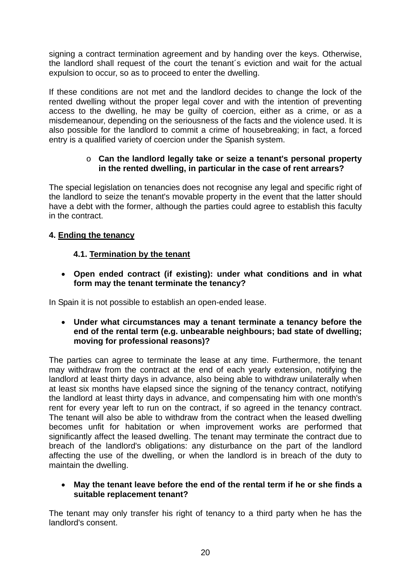signing a contract termination agreement and by handing over the keys. Otherwise, the landlord shall request of the court the tenant´s eviction and wait for the actual expulsion to occur, so as to proceed to enter the dwelling.

If these conditions are not met and the landlord decides to change the lock of the rented dwelling without the proper legal cover and with the intention of preventing access to the dwelling, he may be guilty of coercion, either as a crime, or as a misdemeanour, depending on the seriousness of the facts and the violence used. It is also possible for the landlord to commit a crime of housebreaking; in fact, a forced entry is a qualified variety of coercion under the Spanish system.

#### o **Can the landlord legally take or seize a tenant's personal property in the rented dwelling, in particular in the case of rent arrears?**

The special legislation on tenancies does not recognise any legal and specific right of the landlord to seize the tenant's movable property in the event that the latter should have a debt with the former, although the parties could agree to establish this faculty in the contract.

## **4. Ending the tenancy**

## **4.1. Termination by the tenant**

 **Open ended contract (if existing): under what conditions and in what form may the tenant terminate the tenancy?** 

In Spain it is not possible to establish an open-ended lease.

 **Under what circumstances may a tenant terminate a tenancy before the end of the rental term (e.g. unbearable neighbours; bad state of dwelling; moving for professional reasons)?** 

The parties can agree to terminate the lease at any time. Furthermore, the tenant may withdraw from the contract at the end of each yearly extension, notifying the landlord at least thirty days in advance, also being able to withdraw unilaterally when at least six months have elapsed since the signing of the tenancy contract, notifying the landlord at least thirty days in advance, and compensating him with one month's rent for every year left to run on the contract, if so agreed in the tenancy contract. The tenant will also be able to withdraw from the contract when the leased dwelling becomes unfit for habitation or when improvement works are performed that significantly affect the leased dwelling. The tenant may terminate the contract due to breach of the landlord's obligations: any disturbance on the part of the landlord affecting the use of the dwelling, or when the landlord is in breach of the duty to maintain the dwelling.

#### **May the tenant leave before the end of the rental term if he or she finds a suitable replacement tenant?**

The tenant may only transfer his right of tenancy to a third party when he has the landlord's consent.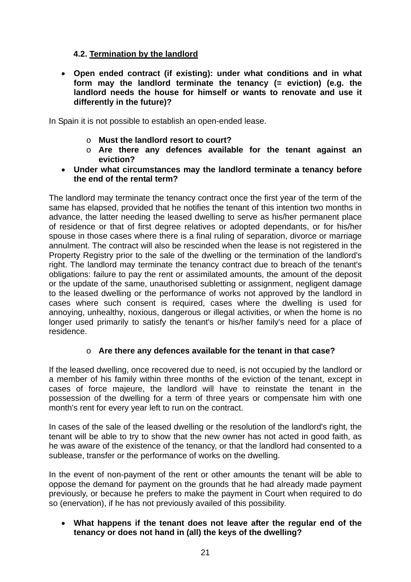## **4.2. Termination by the landlord**

 **Open ended contract (if existing): under what conditions and in what form may the landlord terminate the tenancy (= eviction) (e.g. the landlord needs the house for himself or wants to renovate and use it differently in the future)?** 

In Spain it is not possible to establish an open-ended lease.

- o **Must the landlord resort to court?**
- o **Are there any defences available for the tenant against an eviction?**
- **Under what circumstances may the landlord terminate a tenancy before the end of the rental term?**

The landlord may terminate the tenancy contract once the first year of the term of the same has elapsed, provided that he notifies the tenant of this intention two months in advance, the latter needing the leased dwelling to serve as his/her permanent place of residence or that of first degree relatives or adopted dependants, or for his/her spouse in those cases where there is a final ruling of separation, divorce or marriage annulment. The contract will also be rescinded when the lease is not registered in the Property Registry prior to the sale of the dwelling or the termination of the landlord's right. The landlord may terminate the tenancy contract due to breach of the tenant's obligations: failure to pay the rent or assimilated amounts, the amount of the deposit or the update of the same, unauthorised subletting or assignment, negligent damage to the leased dwelling or the performance of works not approved by the landlord in cases where such consent is required, cases where the dwelling is used for annoying, unhealthy, noxious, dangerous or illegal activities, or when the home is no longer used primarily to satisfy the tenant's or his/her family's need for a place of residence.

## o **Are there any defences available for the tenant in that case?**

If the leased dwelling, once recovered due to need, is not occupied by the landlord or a member of his family within three months of the eviction of the tenant, except in cases of force majeure, the landlord will have to reinstate the tenant in the possession of the dwelling for a term of three years or compensate him with one month's rent for every year left to run on the contract.

In cases of the sale of the leased dwelling or the resolution of the landlord's right, the tenant will be able to try to show that the new owner has not acted in good faith, as he was aware of the existence of the tenancy, or that the landlord had consented to a sublease, transfer or the performance of works on the dwelling.

In the event of non-payment of the rent or other amounts the tenant will be able to oppose the demand for payment on the grounds that he had already made payment previously, or because he prefers to make the payment in Court when required to do so (enervation), if he has not previously availed of this possibility.

 **What happens if the tenant does not leave after the regular end of the tenancy or does not hand in (all) the keys of the dwelling?**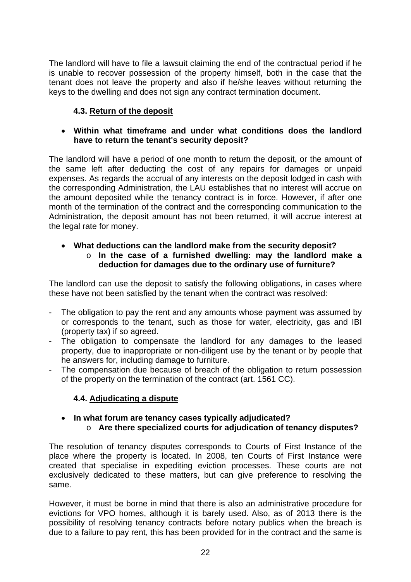The landlord will have to file a lawsuit claiming the end of the contractual period if he is unable to recover possession of the property himself, both in the case that the tenant does not leave the property and also if he/she leaves without returning the keys to the dwelling and does not sign any contract termination document.

## **4.3. Return of the deposit**

#### **Within what timeframe and under what conditions does the landlord have to return the tenant's security deposit?**

The landlord will have a period of one month to return the deposit, or the amount of the same left after deducting the cost of any repairs for damages or unpaid expenses. As regards the accrual of any interests on the deposit lodged in cash with the corresponding Administration, the LAU establishes that no interest will accrue on the amount deposited while the tenancy contract is in force. However, if after one month of the termination of the contract and the corresponding communication to the Administration, the deposit amount has not been returned, it will accrue interest at the legal rate for money.

#### **What deductions can the landlord make from the security deposit?**  o **In the case of a furnished dwelling: may the landlord make a deduction for damages due to the ordinary use of furniture?**

The landlord can use the deposit to satisfy the following obligations, in cases where these have not been satisfied by the tenant when the contract was resolved:

- The obligation to pay the rent and any amounts whose payment was assumed by or corresponds to the tenant, such as those for water, electricity, gas and IBI (property tax) if so agreed.
- The obligation to compensate the landlord for any damages to the leased property, due to inappropriate or non-diligent use by the tenant or by people that he answers for, including damage to furniture.
- The compensation due because of breach of the obligation to return possession of the property on the termination of the contract (art. 1561 CC).

## **4.4. Adjudicating a dispute**

#### **In what forum are tenancy cases typically adjudicated?**  o **Are there specialized courts for adjudication of tenancy disputes?**

The resolution of tenancy disputes corresponds to Courts of First Instance of the place where the property is located. In 2008, ten Courts of First Instance were created that specialise in expediting eviction processes. These courts are not exclusively dedicated to these matters, but can give preference to resolving the same.

However, it must be borne in mind that there is also an administrative procedure for evictions for VPO homes, although it is barely used. Also, as of 2013 there is the possibility of resolving tenancy contracts before notary publics when the breach is due to a failure to pay rent, this has been provided for in the contract and the same is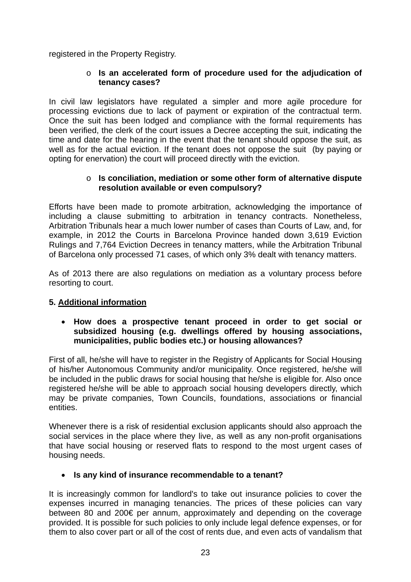registered in the Property Registry.

#### o **Is an accelerated form of procedure used for the adjudication of tenancy cases?**

In civil law legislators have regulated a simpler and more agile procedure for processing evictions due to lack of payment or expiration of the contractual term. Once the suit has been lodged and compliance with the formal requirements has been verified, the clerk of the court issues a Decree accepting the suit, indicating the time and date for the hearing in the event that the tenant should oppose the suit, as well as for the actual eviction. If the tenant does not oppose the suit (by paying or opting for enervation) the court will proceed directly with the eviction.

#### o **Is conciliation, mediation or some other form of alternative dispute resolution available or even compulsory?**

Efforts have been made to promote arbitration, acknowledging the importance of including a clause submitting to arbitration in tenancy contracts. Nonetheless, Arbitration Tribunals hear a much lower number of cases than Courts of Law, and, for example, in 2012 the Courts in Barcelona Province handed down 3,619 Eviction Rulings and 7,764 Eviction Decrees in tenancy matters, while the Arbitration Tribunal of Barcelona only processed 71 cases, of which only 3% dealt with tenancy matters.

As of 2013 there are also regulations on mediation as a voluntary process before resorting to court.

## **5. Additional information**

#### **How does a prospective tenant proceed in order to get social or subsidized housing (e.g. dwellings offered by housing associations, municipalities, public bodies etc.) or housing allowances?**

First of all, he/she will have to register in the Registry of Applicants for Social Housing of his/her Autonomous Community and/or municipality. Once registered, he/she will be included in the public draws for social housing that he/she is eligible for. Also once registered he/she will be able to approach social housing developers directly, which may be private companies, Town Councils, foundations, associations or financial entities.

Whenever there is a risk of residential exclusion applicants should also approach the social services in the place where they live, as well as any non-profit organisations that have social housing or reserved flats to respond to the most urgent cases of housing needs.

#### **Is any kind of insurance recommendable to a tenant?**

It is increasingly common for landlord's to take out insurance policies to cover the expenses incurred in managing tenancies. The prices of these policies can vary between 80 and 200€ per annum, approximately and depending on the coverage provided. It is possible for such policies to only include legal defence expenses, or for them to also cover part or all of the cost of rents due, and even acts of vandalism that